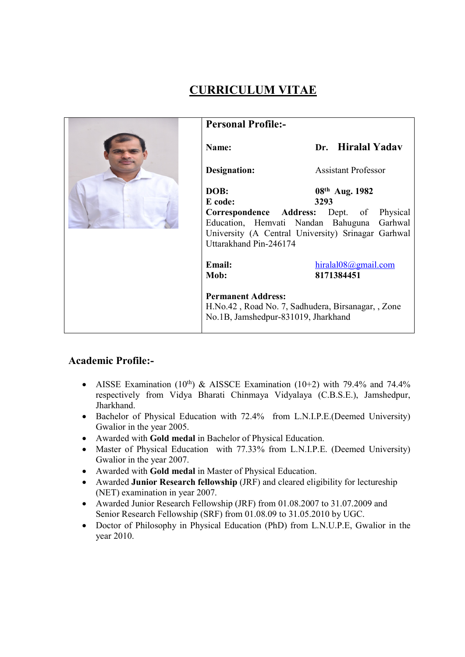# Personal Profile:- Name: Dr. Hiralal Yadav Designation: Assistant Professor DOB: 08th Aug. 1982 E code: 3293 Correspondence Address: Dept. of Physical Education, Hemvati Nandan Bahuguna Garhwal University (A Central University) Srinagar Garhwal Uttarakhand Pin-246174 Email: hiralal08@gmail.com Mob: 8171384451 Permanent Address: H.No.42 , Road No. 7, Sadhudera, Birsanagar, , Zone No.1B, Jamshedpur-831019, Jharkhand

# CURRICULUM VITAE

## Academic Profile:-

- AISSE Examination (10<sup>th</sup>) & AISSCE Examination (10+2) with 79.4% and 74.4% respectively from Vidya Bharati Chinmaya Vidyalaya (C.B.S.E.), Jamshedpur, Jharkhand.
- Bachelor of Physical Education with 72.4% from L.N.I.P.E.(Deemed University) Gwalior in the year 2005.
- Awarded with Gold medal in Bachelor of Physical Education.
- Master of Physical Education with 77.33% from L.N.I.P.E. (Deemed University) Gwalior in the year 2007.
- Awarded with Gold medal in Master of Physical Education.
- Awarded Junior Research fellowship (JRF) and cleared eligibility for lectureship (NET) examination in year 2007.
- Awarded Junior Research Fellowship (JRF) from 01.08.2007 to 31.07.2009 and Senior Research Fellowship (SRF) from 01.08.09 to 31.05.2010 by UGC.
- Doctor of Philosophy in Physical Education (PhD) from L.N.U.P.E, Gwalior in the year 2010.